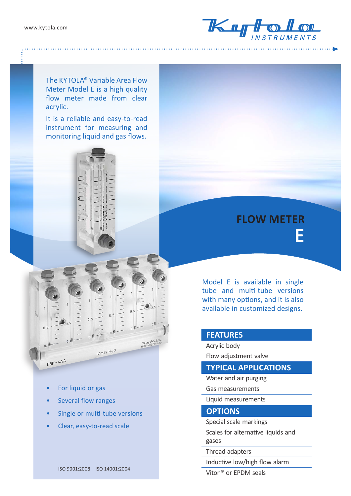

The KYTOLA® Variable Area Flow Meter Model E is a high quality flow meter made from clear acrylic.

It is a reliable and easy-to-read instrument for measuring and monitoring liquid and gas flows.



Model E is available in single tube and multi-tube versions with many options, and it is also available in customized designs.

## **FEATURES**

Acrylic body

Flow adjustment valvе

## **TYPICAL APPLICATIONS**

- Water and air purging
- Gas measurements
- Liquid measurements

## **OPTIONS**

- Special scale markings
- Scales for alternative liquids and gases

Thread adapters

Inductive low/high flow alarm

Viton® or EPDM seals

For liquid or gas

 $E6K - 4AA$ 

- Several flow ranges
- Single or multi-tube versions

 $1/m$ in  $H<sub>2</sub>0$ 

• Clear, easy-to-read scale

ISO 9001:2008 ISO 14001:2004